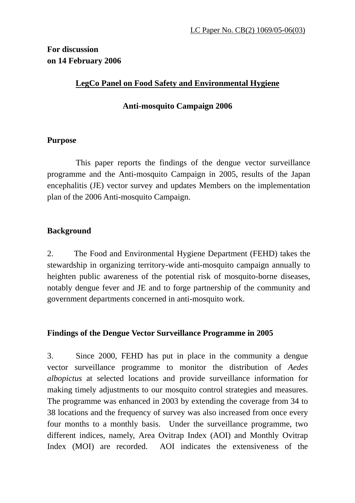# **For discussion on 14 February 2006**

# **LegCo Panel on Food Safety and Environmental Hygiene**

## **Anti-mosquito Campaign 2006**

### **Purpose**

This paper reports the findings of the dengue vector surveillance programme and the Anti-mosquito Campaign in 2005, results of the Japan encephalitis (JE) vector survey and updates Members on the implementation plan of the 2006 Anti-mosquito Campaign.

## **Background**

2. The Food and Environmental Hygiene Department (FEHD) takes the stewardship in organizing territory-wide anti-mosquito campaign annually to heighten public awareness of the potential risk of mosquito-borne diseases, notably dengue fever and JE and to forge partnership of the community and government departments concerned in anti-mosquito work.

### **Findings of the Dengue Vector Surveillance Programme in 2005**

3. Since 2000, FEHD has put in place in the community a dengue vector surveillance programme to monitor the distribution of *Aedes albopictus* at selected locations and provide surveillance information for making timely adjustments to our mosquito control strategies and measures. The programme was enhanced in 2003 by extending the coverage from 34 to 38 locations and the frequency of survey was also increased from once every four months to a monthly basis. Under the surveillance programme, two different indices, namely, Area Ovitrap Index (AOI) and Monthly Ovitrap Index (MOI) are recorded. AOI indicates the extensiveness of the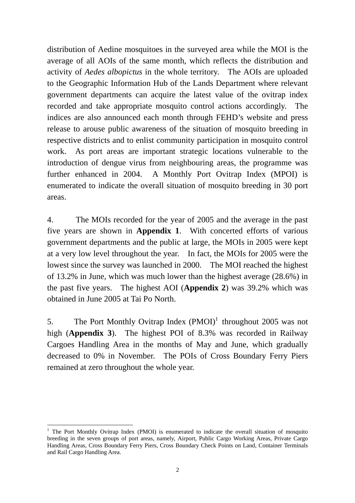distribution of Aedine mosquitoes in the surveyed area while the MOI is the average of all AOIs of the same month, which reflects the distribution and activity of *Aedes albopictus* in the whole territory. The AOIs are uploaded to the Geographic Information Hub of the Lands Department where relevant government departments can acquire the latest value of the ovitrap index recorded and take appropriate mosquito control actions accordingly. The indices are also announced each month through FEHD's website and press release to arouse public awareness of the situation of mosquito breeding in respective districts and to enlist community participation in mosquito control work. As port areas are important strategic locations vulnerable to the introduction of dengue virus from neighbouring areas, the programme was further enhanced in 2004. A Monthly Port Ovitrap Index (MPOI) is enumerated to indicate the overall situation of mosquito breeding in 30 port areas.

4. The MOIs recorded for the year of 2005 and the average in the past five years are shown in **Appendix 1**. With concerted efforts of various government departments and the public at large, the MOIs in 2005 were kept at a very low level throughout the year. In fact, the MOIs for 2005 were the lowest since the survey was launched in 2000. The MOI reached the highest of 13.2% in June, which was much lower than the highest average (28.6%) in the past five years. The highest AOI (**Appendix 2**) was 39.2% which was obtained in June 2005 at Tai Po North.

5. The Port Monthly Ovitrap Index  $(PMOI)^1$  throughout 2005 was not high (**Appendix 3**). The highest POI of 8.3% was recorded in Railway Cargoes Handling Area in the months of May and June, which gradually decreased to 0% in November. The POIs of Cross Boundary Ferry Piers remained at zero throughout the whole year.

 $\overline{a}$ 

<sup>&</sup>lt;sup>1</sup> The Port Monthly Ovitrap Index (PMOI) is enumerated to indicate the overall situation of mosquito breeding in the seven groups of port areas, namely, Airport, Public Cargo Working Areas, Private Cargo Handling Areas, Cross Boundary Ferry Piers, Cross Boundary Check Points on Land, Container Terminals and Rail Cargo Handling Area.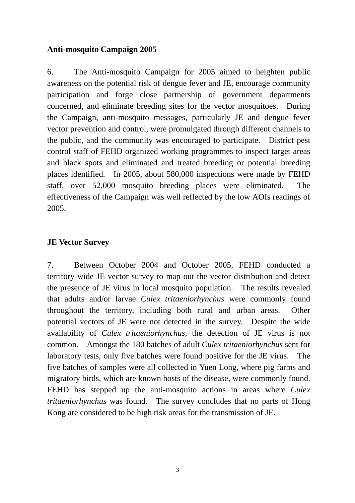## **Anti-mosquito Campaign 2005**

6. The Anti-mosquito Campaign for 2005 aimed to heighten public awareness on the potential risk of dengue fever and JE, encourage community participation and forge close partnership of government departments concerned, and eliminate breeding sites for the vector mosquitoes. During the Campaign, anti-mosquito messages, particularly JE and dengue fever vector prevention and control, were promulgated through different channels to the public, and the community was encouraged to participate. District pest control staff of FEHD organized working programmes to inspect target areas and black spots and eliminated and treated breeding or potential breeding places identified. In 2005, about 580,000 inspections were made by FEHD staff, over 52,000 mosquito breeding places were eliminated. The effectiveness of the Campaign was well reflected by the low AOIs readings of 2005.

## **JE Vector Survey**

7. Between October 2004 and October 2005, FEHD conducted a territory-wide JE vector survey to map out the vector distribution and detect the presence of JE virus in local mosquito population. The results revealed that adults and/or larvae *Culex tritaeniorhynchus* were commonly found throughout the territory, including both rural and urban areas. Other potential vectors of JE were not detected in the survey. Despite the wide availability of *Culex tritaeniorhynchus*, the detection of JE virus is not common. Amongst the 180 batches of adult *Culex tritaeniorhynchus* sent for laboratory tests, only five batches were found positive for the JE virus. The five batches of samples were all collected in Yuen Long, where pig farms and migratory birds, which are known hosts of the disease, were commonly found. FEHD has stepped up the anti-mosquito actions in areas where *Culex tritaeniorhynchus* was found. The survey concludes that no parts of Hong Kong are considered to be high risk areas for the transmission of JE.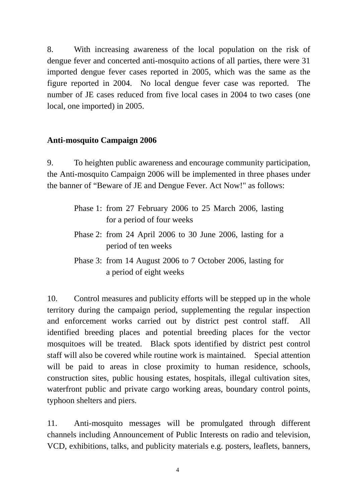8. With increasing awareness of the local population on the risk of dengue fever and concerted anti-mosquito actions of all parties, there were 31 imported dengue fever cases reported in 2005, which was the same as the figure reported in 2004. No local dengue fever case was reported. The number of JE cases reduced from five local cases in 2004 to two cases (one local, one imported) in 2005.

#### **Anti-mosquito Campaign 2006**

9. To heighten public awareness and encourage community participation, the Anti-mosquito Campaign 2006 will be implemented in three phases under the banner of "Beware of JE and Dengue Fever. Act Now!" as follows:

- Phase 1: from 27 February 2006 to 25 March 2006, lasting for a period of four weeks
- Phase 2: from 24 April 2006 to 30 June 2006, lasting for a period of ten weeks
- Phase 3: from 14 August 2006 to 7 October 2006, lasting for a period of eight weeks

10. Control measures and publicity efforts will be stepped up in the whole territory during the campaign period, supplementing the regular inspection and enforcement works carried out by district pest control staff. All identified breeding places and potential breeding places for the vector mosquitoes will be treated. Black spots identified by district pest control staff will also be covered while routine work is maintained. Special attention will be paid to areas in close proximity to human residence, schools, construction sites, public housing estates, hospitals, illegal cultivation sites, waterfront public and private cargo working areas, boundary control points, typhoon shelters and piers.

11. Anti-mosquito messages will be promulgated through different channels including Announcement of Public Interests on radio and television, VCD, exhibitions, talks, and publicity materials e.g. posters, leaflets, banners,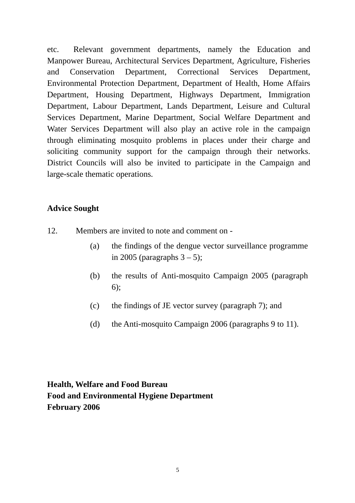etc. Relevant government departments, namely the Education and Manpower Bureau, Architectural Services Department, Agriculture, Fisheries and Conservation Department, Correctional Services Department, Environmental Protection Department, Department of Health, Home Affairs Department, Housing Department, Highways Department, Immigration Department, Labour Department, Lands Department, Leisure and Cultural Services Department, Marine Department, Social Welfare Department and Water Services Department will also play an active role in the campaign through eliminating mosquito problems in places under their charge and soliciting community support for the campaign through their networks. District Councils will also be invited to participate in the Campaign and large-scale thematic operations.

### **Advice Sought**

- 12. Members are invited to note and comment on
	- (a) the findings of the dengue vector surveillance programme in 2005 (paragraphs  $3 - 5$ );
	- (b) the results of Anti-mosquito Campaign 2005 (paragraph 6);
	- (c) the findings of JE vector survey (paragraph 7); and
	- (d) the Anti-mosquito Campaign 2006 (paragraphs 9 to 11).

# **Health, Welfare and Food Bureau Food and Environmental Hygiene Department February 2006**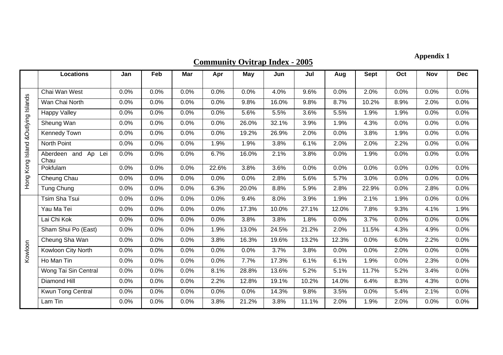**Community Ovitrap Index - 2005**

# **Appendix 1**

|                                     | <b>Locations</b>               | Jan  | Feb  | Mar  | Apr   | <b>May</b> | Jun   | Jul   | Aug   | <b>Sept</b> | Oct  | <b>Nov</b> | <b>Dec</b> |
|-------------------------------------|--------------------------------|------|------|------|-------|------------|-------|-------|-------|-------------|------|------------|------------|
| Hong Kong Island & Outlying Islands | Chai Wan West                  | 0.0% | 0.0% | 0.0% | 0.0%  | 0.0%       | 4.0%  | 9.6%  | 0.0%  | 2.0%        | 0.0% | 0.0%       | 0.0%       |
|                                     | Wan Chai North                 | 0.0% | 0.0% | 0.0% | 0.0%  | 9.8%       | 16.0% | 9.8%  | 8.7%  | 10.2%       | 8.9% | 2.0%       | 0.0%       |
|                                     | <b>Happy Valley</b>            | 0.0% | 0.0% | 0.0% | 0.0%  | 5.6%       | 5.5%  | 3.6%  | 5.5%  | 1.9%        | 1.9% | 0.0%       | 0.0%       |
|                                     | Sheung Wan                     | 0.0% | 0.0% | 0.0% | 0.0%  | 26.0%      | 32.1% | 3.9%  | 1.9%  | 4.3%        | 0.0% | 0.0%       | 0.0%       |
|                                     | <b>Kennedy Town</b>            | 0.0% | 0.0% | 0.0% | 0.0%  | 19.2%      | 26.9% | 2.0%  | 0.0%  | 3.8%        | 1.9% | 0.0%       | 0.0%       |
|                                     | North Point                    | 0.0% | 0.0% | 0.0% | 1.9%  | 1.9%       | 3.8%  | 6.1%  | 2.0%  | 2.0%        | 2.2% | 0.0%       | 0.0%       |
|                                     | Aberdeen and Ap<br>Lei<br>Chau | 0.0% | 0.0% | 0.0% | 6.7%  | 16.0%      | 2.1%  | 3.8%  | 0.0%  | 1.9%        | 0.0% | 0.0%       | 0.0%       |
|                                     | Pokfulam                       | 0.0% | 0.0% | 0.0% | 22.6% | 3.8%       | 3.6%  | 0.0%  | 0.0%  | 0.0%        | 0.0% | 0.0%       | 0.0%       |
|                                     | Cheung Chau                    | 0.0% | 0.0% | 0.0% | 0.0%  | 0.0%       | 2.8%  | 5.6%  | 5.7%  | 3.0%        | 0.0% | 0.0%       | 0.0%       |
|                                     | Tung Chung                     | 0.0% | 0.0% | 0.0% | 6.3%  | 20.0%      | 8.8%  | 5.9%  | 2.8%  | 22.9%       | 0.0% | 2.8%       | 0.0%       |
|                                     | Tsim Sha Tsui                  | 0.0% | 0.0% | 0.0% | 0.0%  | 9.4%       | 8.0%  | 3.9%  | 1.9%  | 2.1%        | 1.9% | 0.0%       | 0.0%       |
|                                     | Yau Ma Tei                     | 0.0% | 0.0% | 0.0% | 0.0%  | 17.3%      | 10.0% | 27.1% | 12.0% | 7.8%        | 9.3% | 4.1%       | 1.9%       |
|                                     | Lai Chi Kok                    | 0.0% | 0.0% | 0.0% | 0.0%  | 3.8%       | 3.8%  | 1.8%  | 0.0%  | 3.7%        | 0.0% | 0.0%       | 0.0%       |
|                                     | Sham Shui Po (East)            | 0.0% | 0.0% | 0.0% | 1.9%  | 13.0%      | 24.5% | 21.2% | 2.0%  | 11.5%       | 4.3% | 4.9%       | 0.0%       |
|                                     | Cheung Sha Wan                 | 0.0% | 0.0% | 0.0% | 3.8%  | 16.3%      | 19.6% | 13.2% | 12.3% | 0.0%        | 6.0% | 2.2%       | 0.0%       |
| Kowloon                             | Kowloon City North             | 0.0% | 0.0% | 0.0% | 0.0%  | 0.0%       | 3.7%  | 3.8%  | 0.0%  | 0.0%        | 2.0% | 0.0%       | 0.0%       |
|                                     | Ho Man Tin                     | 0.0% | 0.0% | 0.0% | 0.0%  | 7.7%       | 17.3% | 6.1%  | 6.1%  | 1.9%        | 0.0% | 2.3%       | 0.0%       |
|                                     | Wong Tai Sin Central           | 0.0% | 0.0% | 0.0% | 8.1%  | 28.8%      | 13.6% | 5.2%  | 5.1%  | 11.7%       | 5.2% | 3.4%       | 0.0%       |
|                                     | <b>Diamond Hill</b>            | 0.0% | 0.0% | 0.0% | 2.2%  | 12.8%      | 19.1% | 10.2% | 14.0% | 6.4%        | 8.3% | 4.3%       | 0.0%       |
|                                     | Kwun Tong Central              | 0.0% | 0.0% | 0.0% | 0.0%  | 0.0%       | 14.3% | 9.8%  | 3.5%  | 0.0%        | 5.4% | 2.1%       | 0.0%       |
|                                     | Lam Tin                        | 0.0% | 0.0% | 0.0% | 3.8%  | 21.2%      | 3.8%  | 11.1% | 2.0%  | 1.9%        | 2.0% | 0.0%       | 0.0%       |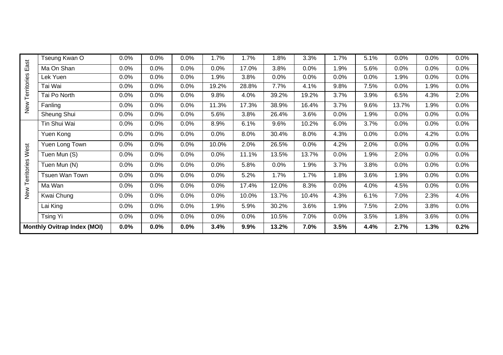|                                    | Tseung Kwan O  | 0.0% | 0.0% | 0.0% | 1.7%  | 1.7%  | 1.8%  | 3.3%  | 1.7% | 5.1% | 0.0%  | 0.0% | 0.0% |
|------------------------------------|----------------|------|------|------|-------|-------|-------|-------|------|------|-------|------|------|
| East<br>Territories<br>New         | Ma On Shan     | 0.0% | 0.0% | 0.0% | 0.0%  | 17.0% | 3.8%  | 0.0%  | 1.9% | 5.6% | 0.0%  | 0.0% | 0.0% |
|                                    | Lek Yuen       | 0.0% | 0.0% | 0.0% | 1.9%  | 3.8%  | 0.0%  | 0.0%  | 0.0% | 0.0% | 1.9%  | 0.0% | 0.0% |
|                                    | Tai Wai        | 0.0% | 0.0% | 0.0% | 19.2% | 28.8% | 7.7%  | 4.1%  | 9.8% | 7.5% | 0.0%  | 1.9% | 0.0% |
|                                    | Tai Po North   | 0.0% | 0.0% | 0.0% | 9.8%  | 4.0%  | 39.2% | 19.2% | 3.7% | 3.9% | 6.5%  | 4.3% | 2.0% |
|                                    | Fanling        | 0.0% | 0.0% | 0.0% | 11.3% | 17.3% | 38.9% | 16.4% | 3.7% | 9.6% | 13.7% | 1.9% | 0.0% |
|                                    | Sheung Shui    | 0.0% | 0.0% | 0.0% | 5.6%  | 3.8%  | 26.4% | 3.6%  | 0.0% | 1.9% | 0.0%  | 0.0% | 0.0% |
|                                    | Tin Shui Wai   | 0.0% | 0.0% | 0.0% | 8.9%  | 6.1%  | 9.6%  | 10.2% | 6.0% | 3.7% | 0.0%  | 0.0% | 0.0% |
|                                    | Yuen Kong      | 0.0% | 0.0% | 0.0% | 0.0%  | 8.0%  | 30.4% | 8.0%  | 4.3% | 0.0% | 0.0%  | 4.2% | 0.0% |
|                                    | Yuen Long Town | 0.0% | 0.0% | 0.0% | 10.0% | 2.0%  | 26.5% | 0.0%  | 4.2% | 2.0% | 0.0%  | 0.0% | 0.0% |
| West                               | Tuen Mun (S)   | 0.0% | 0.0% | 0.0% | 0.0%  | 11.1% | 13.5% | 13.7% | 0.0% | 1.9% | 2.0%  | 0.0% | 0.0% |
|                                    | Tuen Mun (N)   | 0.0% | 0.0% | 0.0% | 0.0%  | 5.8%  | 0.0%  | 1.9%  | 3.7% | 3.8% | 0.0%  | 0.0% | 0.0% |
|                                    | Tsuen Wan Town | 0.0% | 0.0% | 0.0% | 0.0%  | 5.2%  | 1.7%  | 1.7%  | 1.8% | 3.6% | 1.9%  | 0.0% | 0.0% |
| New Territories                    | Ma Wan         | 0.0% | 0.0% | 0.0% | 0.0%  | 17.4% | 12.0% | 8.3%  | 0.0% | 4.0% | 4.5%  | 0.0% | 0.0% |
|                                    | Kwai Chung     | 0.0% | 0.0% | 0.0% | 0.0%  | 10.0% | 13.7% | 10.4% | 4.3% | 6.1% | 7.0%  | 2.3% | 4.0% |
|                                    | Lai King       | 0.0% | 0.0% | 0.0% | 1.9%  | 5.9%  | 30.2% | 3.6%  | 1.9% | 7.5% | 2.0%  | 3.8% | 0.0% |
|                                    | Tsing Yi       | 0.0% | 0.0% | 0.0% | 0.0%  | 0.0%  | 10.5% | 7.0%  | 0.0% | 3.5% | 1.8%  | 3.6% | 0.0% |
| <b>Monthly Ovitrap Index (MOI)</b> |                | 0.0% | 0.0% | 0.0% | 3.4%  | 9.9%  | 13.2% | 7.0%  | 3.5% | 4.4% | 2.7%  | 1.3% | 0.2% |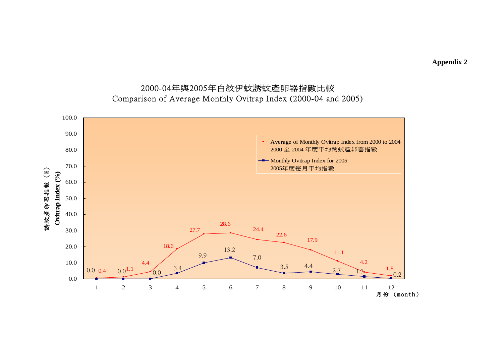**Appendix 2** 

# 2000-04年與2005年白紋伊蚊誘蚊產卵器指數比較 Comparison of Average Monthly Ovitrap Index (2000-04 and 2005)